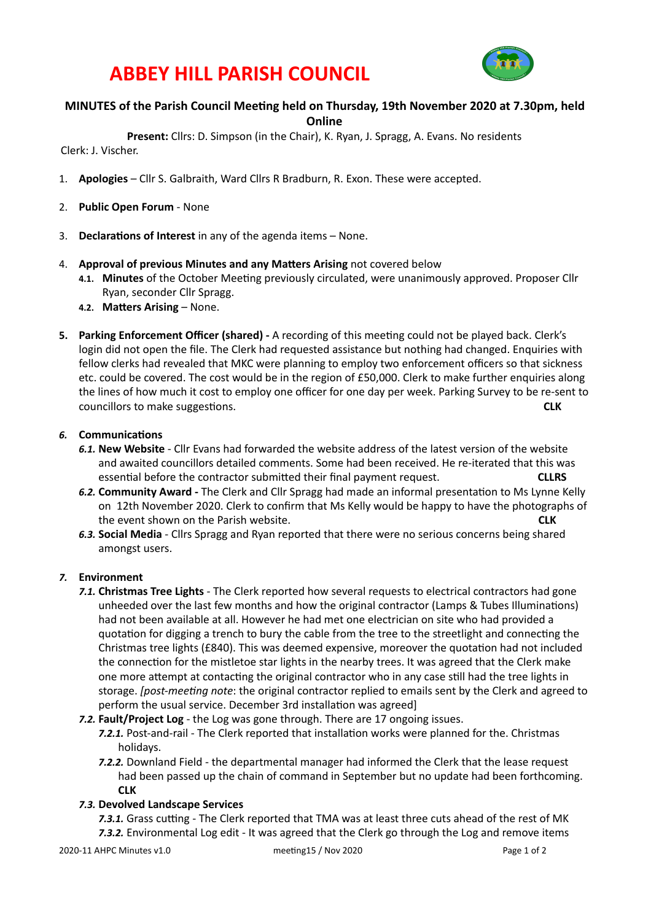## **ABBEY HILL PARISH COUNCIL**



#### **MINUTES** of the Parish Council Meeting held on Thursday, 19th November 2020 at 7.30pm, held **Online**

Present: Cllrs: D. Simpson (in the Chair), K. Ryan, J. Spragg, A. Evans. No residents

Clerk: J. Vischer.

- 1. **Apologies** Cllr S. Galbraith, Ward Cllrs R Bradburn, R. Exon. These were accepted.
- 2. **Public Open Forum** None
- 3. **Declarations of Interest** in any of the agenda items None.
- 4. **Approval of previous Minutes and any Matters Arising** not covered below
	- 4.1. Minutes of the October Meeting previously circulated, were unanimously approved. Proposer Cllr Ryan, seconder Cllr Spragg.
	- **4.2. Matters Arising None.**
- **5.** Parking Enforcement Officer (shared) A recording of this meeting could not be played back. Clerk's login did not open the file. The Clerk had requested assistance but nothing had changed. Enquiries with fellow clerks had revealed that MKC were planning to employ two enforcement officers so that sickness etc. could be covered. The cost would be in the region of £50,000. Clerk to make further enquiries along the lines of how much it cost to employ one officer for one day per week. Parking Survey to be re-sent to councillors to make suggesTons.  **CLK**

## **6.** Communications

- 6.1. **New Website** Cllr Evans had forwarded the website address of the latest version of the website and awaited councillors detailed comments. Some had been received. He re-iterated that this was essential before the contractor submitted their final payment request. **CLLRS**
- 6.2. **Community Award** The Clerk and Cllr Spragg had made an informal presentation to Ms Lynne Kelly on 12th November 2020. Clerk to confirm that Ms Kelly would be happy to have the photographs of the event shown on the Parish website. **And the CLA CLK CLK**
- 6.3. Social Media Cllrs Spragg and Ryan reported that there were no serious concerns being shared amongst users.

## *7.* **Environment**

- **7.1. Christmas Tree Lights** The Clerk reported how several requests to electrical contractors had gone unheeded over the last few months and how the original contractor (Lamps & Tubes Illuminations) had not been available at all. However he had met one electrician on site who had provided a quotation for digging a trench to bury the cable from the tree to the streetlight and connecting the Christmas tree lights (£840). This was deemed expensive, moreover the quotation had not included the connection for the mistletoe star lights in the nearby trees. It was agreed that the Clerk make one more attempt at contacting the original contractor who in any case still had the tree lights in storage. *[post-meeting note:* the original contractor replied to emails sent by the Clerk and agreed to perform the usual service. December 3rd installation was agreed]
- 7.2. Fault/Project Log the Log was gone through. There are 17 ongoing issues.
	- 7.2.1. Post-and-rail The Clerk reported that installation works were planned for the. Christmas holidays.
	- **7.2.2.** Downland Field the departmental manager had informed the Clerk that the lease request had been passed up the chain of command in September but no update had been forthcoming. **CLK**

## *7.3.* **Devolved Landscape Services**

7.3.1. Grass cutting - The Clerk reported that TMA was at least three cuts ahead of the rest of MK 7.3.2. Environmental Log edit - It was agreed that the Clerk go through the Log and remove items